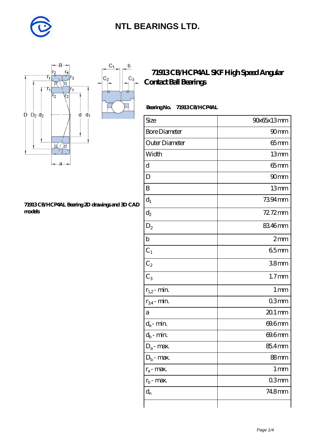

 $\mathsf b$ 

ó

 $C_3$ 



#### **[71913 CB/HCP4AL Bearing 2D drawings and 3D CAD](https://m.diabetesfriends.net/pic-590737.html) [models](https://m.diabetesfriends.net/pic-590737.html)**

### **[71913 CB/HCP4AL SKF High Speed Angular](https://m.diabetesfriends.net/skf-bearing/71913-cb-hcp4al.html) [Contact Ball Bearings](https://m.diabetesfriends.net/skf-bearing/71913-cb-hcp4al.html)**

### **Bearing No. 71913 CB/HCP4AL**

| Size                       | 90x65x13mm        |
|----------------------------|-------------------|
| <b>Bore Diameter</b>       | 90mm              |
| Outer Diameter             | 65mm              |
| Width                      | 13mm              |
| d                          | $65$ mm           |
| D                          | 90mm              |
| B                          | 13mm              |
| $d_1$                      | 7394mm            |
| $d_2$                      | $72.72$ mm        |
| $\mathrm{D}_2$             | 8346mm            |
| $\mathbf b$                | 2mm               |
| $C_1$                      | 65mm              |
| $C_2$                      | 38mm              |
| $C_3$                      | 1.7 <sub>mm</sub> |
| $r_{1,2}$ - min.           | 1 <sub>mm</sub>   |
| $r_{34}$ - min.            | 03mm              |
| a                          | $201$ mm          |
| $d_a$ - min.               | 69.6mm            |
| $d_b\operatorname{-} \min$ | 69.6mm            |
| $D_a$ - max.               | 85.4mm            |
| $Db$ - max.                | 88mm              |
| $r_a$ - max.               | $1 \,\mathrm{mm}$ |
| $r_{b}$ - max.             | 03mm              |
| $d_{n}$                    | 748mm             |
|                            |                   |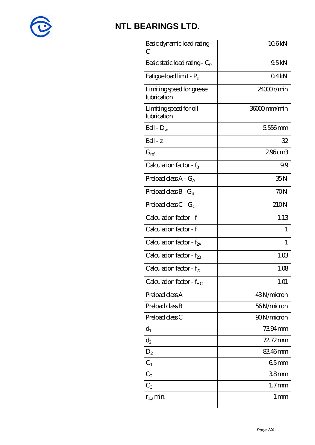

| Basic dynamic load rating-<br>С          | 106kN           |
|------------------------------------------|-----------------|
| Basic static load rating - $C_0$         | 9.5kN           |
| Fatigue load limit - $P_u$               | 04kN            |
| Limiting speed for grease<br>lubrication | 24000r/min      |
| Limiting speed for oil<br>lubrication    | 36000mm/min     |
| Ball - $D_w$                             | 5556mm          |
| $Ball - z$                               | 32              |
| $G_{ref}$                                | 296cm3          |
| Calculation factor - $f_0$               | 99              |
| Preload class $A - G_A$                  | 35N             |
| Preload class $B - G_B$                  | 70N             |
| Preload class C - $G_C$                  | 210N            |
| Calculation factor - f                   | 1.13            |
| Calculation factor - f                   | 1               |
| Calculation factor - f <sub>2A</sub>     | 1               |
| Calculation factor - f <sub>2B</sub>     | 1.03            |
| Calculation factor - $f_{\chi}$          | 1.08            |
| Calculation factor - $f_{HC}$            | 1.01            |
| Preload class A                          | 43N/micron      |
| Preload class B                          | 56N/micron      |
| Preload class C                          | 90N/micron      |
| $d_1$                                    | 7394mm          |
| $d_2$                                    | 72.72mm         |
| $D_2$                                    | 83.46mm         |
| $C_1$                                    | 65mm            |
| $C_{2}$                                  | 38mm            |
| $C_3$                                    | $1.7$ mm        |
| $r_{1,2}$ min.                           | 1 <sub>mm</sub> |
|                                          |                 |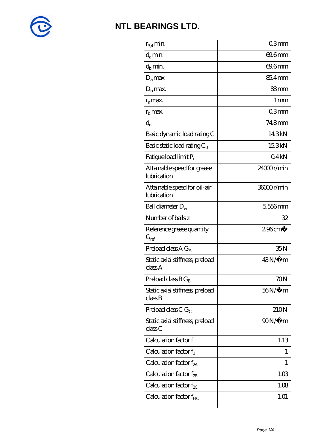

| $r_{34}$ min.                               | 03mm                  |
|---------------------------------------------|-----------------------|
| $d_a$ min.                                  | 69.6mm                |
| $d_b$ min.                                  | 69.6mm                |
| $D_a$ max.                                  | 85.4mm                |
| $Db$ max.                                   | 88mm                  |
| $r_a$ max.                                  | $1 \,\mathrm{mm}$     |
| $r_{\rm b}$ max.                            | 03mm                  |
| $d_{n}$                                     | 748mm                 |
| Basic dynamic load rating C                 | 14.3kN                |
| Basic static load rating $C_0$              | 15.3kN                |
| Fatigue load limit Pu                       | 04kN                  |
| Attainable speed for grease<br>lubrication  | 24000r/min            |
| Attainable speed for oil-air<br>lubrication | 36000r/min            |
| Ball diameter $D_w$                         | 5556mm                |
| Number of balls z                           | 32                    |
| Reference grease quantity<br>$G_{ref}$      | $296$ cm <sup>3</sup> |
| Preload class $A G_A$                       | 35N                   |
| Static axial stiffness, preload<br>classA   | 43N/μ m               |
| Preload class $BG_B$                        | 70N                   |
| Static axial stiffness, preload<br>classB   | $56N/\mu$ m           |
| Preload class C $G_C$                       | 210N                  |
| Static axial stiffness, preload<br>classC   | $90N/\mu$ m           |
| Calculation factor f                        | 1.13                  |
| Calculation factor $f_1$                    | 1                     |
| Calculation factor $f_{2A}$                 | 1                     |
| Calculation factor $f_{\rm 2B}$             | 1.03                  |
| Calculation factor $f_{\chi}$               | 1.08                  |
|                                             |                       |
| Calculation factor $f_{HC}$                 | 1.01                  |